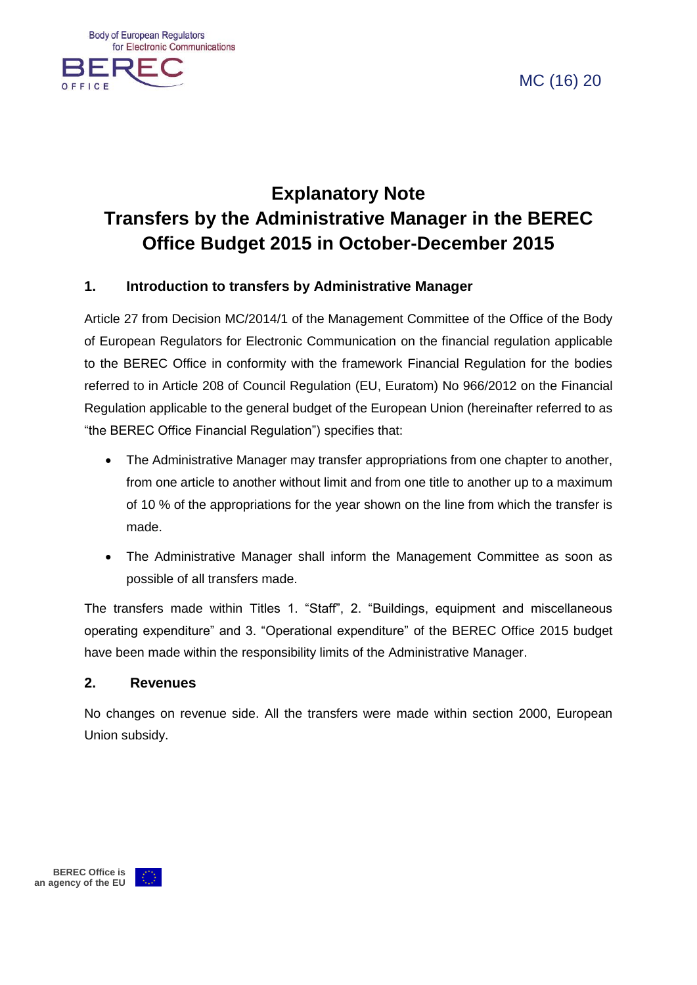**Body of European Regulators** for Electronic Communications



MC (16) 20



#### **1. Introduction to transfers by Administrative Manager**

Article 27 from Decision MC/2014/1 of the Management Committee of the Office of the Body of European Regulators for Electronic Communication on the financial regulation applicable to the BEREC Office in conformity with the framework Financial Regulation for the bodies referred to in Article 208 of Council Regulation (EU, Euratom) No 966/2012 on the Financial Regulation applicable to the general budget of the European Union (hereinafter referred to as "the BEREC Office Financial Regulation") specifies that:

- The Administrative Manager may transfer appropriations from one chapter to another, from one article to another without limit and from one title to another up to a maximum of 10 % of the appropriations for the year shown on the line from which the transfer is made.
- The Administrative Manager shall inform the Management Committee as soon as possible of all transfers made.

The transfers made within Titles 1. "Staff", 2. "Buildings, equipment and miscellaneous operating expenditure" and 3. "Operational expenditure" of the BEREC Office 2015 budget have been made within the responsibility limits of the Administrative Manager.

#### **2. Revenues**

No changes on revenue side. All the transfers were made within section 2000, European Union subsidy.

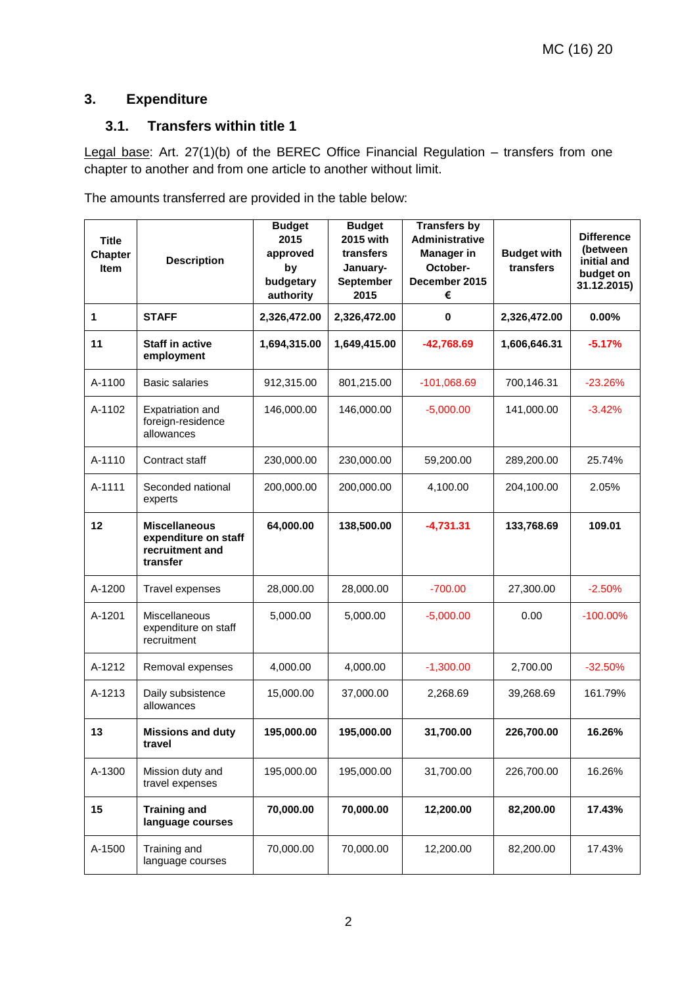## **3. Expenditure**

## **3.1. Transfers within title 1**

Legal base: Art. 27(1)(b) of the BEREC Office Financial Regulation – transfers from one chapter to another and from one article to another without limit.

The amounts transferred are provided in the table below:

| <b>Title</b><br><b>Chapter</b><br><b>Item</b> | <b>Description</b>                                                          | <b>Budget</b><br>2015<br>approved<br>by<br>budgetary<br>authority | <b>Budget</b><br>2015 with<br>transfers<br>January-<br>September<br>2015 | <b>Transfers by</b><br>Administrative<br><b>Manager in</b><br>October-<br>December 2015<br>€ | <b>Budget with</b><br>transfers | <b>Difference</b><br>(between<br>initial and<br>budget on<br>31.12.2015) |
|-----------------------------------------------|-----------------------------------------------------------------------------|-------------------------------------------------------------------|--------------------------------------------------------------------------|----------------------------------------------------------------------------------------------|---------------------------------|--------------------------------------------------------------------------|
| 1                                             | <b>STAFF</b>                                                                | 2,326,472.00                                                      | 2,326,472.00                                                             | $\mathbf 0$                                                                                  | 2,326,472.00                    | 0.00%                                                                    |
| 11                                            | <b>Staff in active</b><br>employment                                        | 1,694,315.00                                                      | 1,649,415.00                                                             | $-42,768.69$                                                                                 | 1,606,646.31                    | $-5.17%$                                                                 |
| A-1100                                        | <b>Basic salaries</b>                                                       | 912,315.00                                                        | 801,215.00                                                               | $-101,068.69$                                                                                | 700,146.31                      | $-23.26%$                                                                |
| A-1102                                        | Expatriation and<br>foreign-residence<br>allowances                         | 146,000.00                                                        | 146,000.00                                                               | $-5,000.00$                                                                                  | 141,000.00                      | $-3.42%$                                                                 |
| A-1110                                        | Contract staff                                                              | 230,000.00                                                        | 230,000.00                                                               | 59,200.00                                                                                    | 289,200.00                      | 25.74%                                                                   |
| A-1111                                        | Seconded national<br>experts                                                | 200,000.00                                                        | 200,000.00                                                               | 4,100.00                                                                                     | 204,100.00                      | 2.05%                                                                    |
| 12                                            | <b>Miscellaneous</b><br>expenditure on staff<br>recruitment and<br>transfer | 64,000.00                                                         | 138,500.00                                                               | $-4,731.31$                                                                                  | 133,768.69                      | 109.01                                                                   |
| A-1200                                        | Travel expenses                                                             | 28,000.00                                                         | 28,000.00                                                                | $-700.00$                                                                                    | 27,300.00                       | $-2.50%$                                                                 |
| A-1201                                        | Miscellaneous<br>expenditure on staff<br>recruitment                        | 5,000.00                                                          | 5,000.00                                                                 | $-5,000.00$                                                                                  | 0.00                            | $-100.00\%$                                                              |
| A-1212                                        | Removal expenses                                                            | 4,000.00                                                          | 4,000.00                                                                 | $-1,300.00$                                                                                  | 2,700.00                        | $-32.50%$                                                                |
| A-1213                                        | Daily subsistence<br>allowances                                             | 15,000.00                                                         | 37,000.00                                                                | 2,268.69                                                                                     | 39,268.69                       | 161.79%                                                                  |
| 13                                            | <b>Missions and duty</b><br>travel                                          | 195,000.00                                                        | 195,000.00                                                               | 31,700.00                                                                                    | 226,700.00                      | 16.26%                                                                   |
| A-1300                                        | Mission duty and<br>travel expenses                                         | 195,000.00                                                        | 195,000.00                                                               | 31,700.00                                                                                    | 226,700.00                      | 16.26%                                                                   |
| 15                                            | <b>Training and</b><br>language courses                                     | 70,000.00                                                         | 70,000.00                                                                | 12,200.00                                                                                    | 82,200.00                       | 17.43%                                                                   |
| A-1500                                        | Training and<br>language courses                                            | 70,000.00                                                         | 70,000.00                                                                | 12,200.00                                                                                    | 82,200.00                       | 17.43%                                                                   |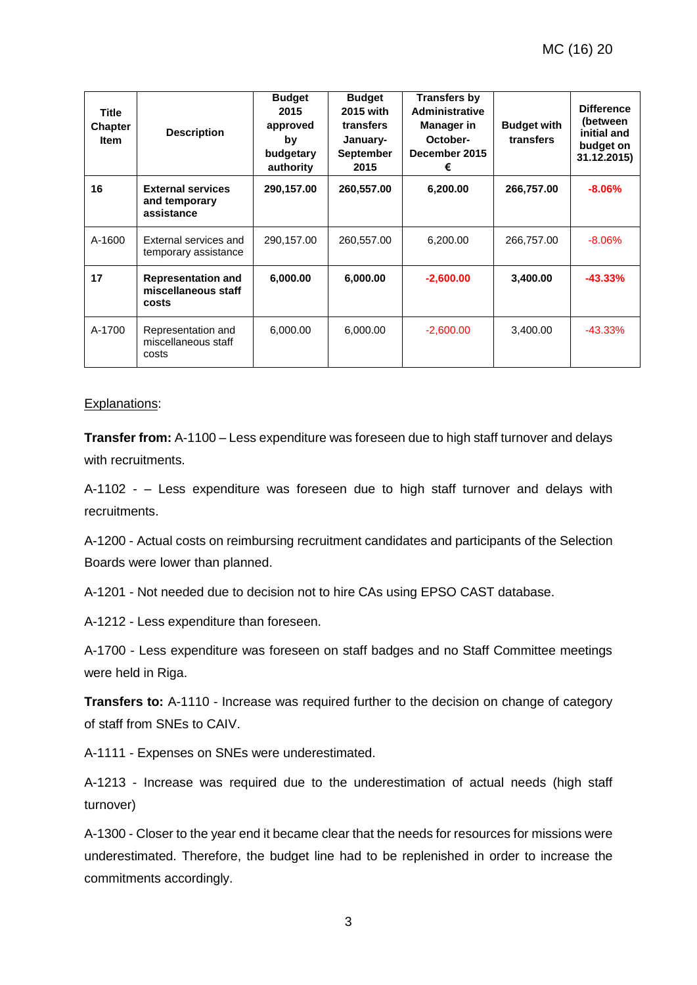| Title<br><b>Chapter</b><br><b>Item</b> | <b>Description</b>                                        | <b>Budget</b><br>2015<br>approved<br>by<br>budgetary<br>authority | <b>Budget</b><br>2015 with<br>transfers<br>January-<br><b>September</b><br>2015 | <b>Transfers by</b><br><b>Administrative</b><br>Manager in<br>October-<br>December 2015<br>€ | <b>Budget with</b><br>transfers | <b>Difference</b><br>(between<br>initial and<br>budget on<br>31.12.2015) |
|----------------------------------------|-----------------------------------------------------------|-------------------------------------------------------------------|---------------------------------------------------------------------------------|----------------------------------------------------------------------------------------------|---------------------------------|--------------------------------------------------------------------------|
| 16                                     | <b>External services</b><br>and temporary<br>assistance   | 290,157.00                                                        | 260,557.00                                                                      | 6,200.00                                                                                     | 266,757.00                      | $-8.06%$                                                                 |
| A-1600                                 | External services and<br>temporary assistance             | 290,157.00                                                        | 260,557.00                                                                      | 6,200.00                                                                                     | 266,757.00                      | $-8.06%$                                                                 |
| 17                                     | <b>Representation and</b><br>miscellaneous staff<br>costs | 6,000.00                                                          | 6,000.00                                                                        | $-2,600.00$                                                                                  | 3,400.00                        | $-43.33%$                                                                |
| A-1700                                 | Representation and<br>miscellaneous staff<br>costs        | 6,000.00                                                          | 6,000.00                                                                        | $-2,600.00$                                                                                  | 3,400.00                        | $-43.33%$                                                                |

#### Explanations:

**Transfer from:** A-1100 – Less expenditure was foreseen due to high staff turnover and delays with recruitments.

A-1102 - – Less expenditure was foreseen due to high staff turnover and delays with recruitments.

A-1200 - Actual costs on reimbursing recruitment candidates and participants of the Selection Boards were lower than planned.

A-1201 - Not needed due to decision not to hire CAs using EPSO CAST database.

A-1212 - Less expenditure than foreseen.

A-1700 - Less expenditure was foreseen on staff badges and no Staff Committee meetings were held in Riga.

**Transfers to:** A-1110 - Increase was required further to the decision on change of category of staff from SNEs to CAIV.

A-1111 - Expenses on SNEs were underestimated.

A-1213 - Increase was required due to the underestimation of actual needs (high staff turnover)

A-1300 - Closer to the year end it became clear that the needs for resources for missions were underestimated. Therefore, the budget line had to be replenished in order to increase the commitments accordingly.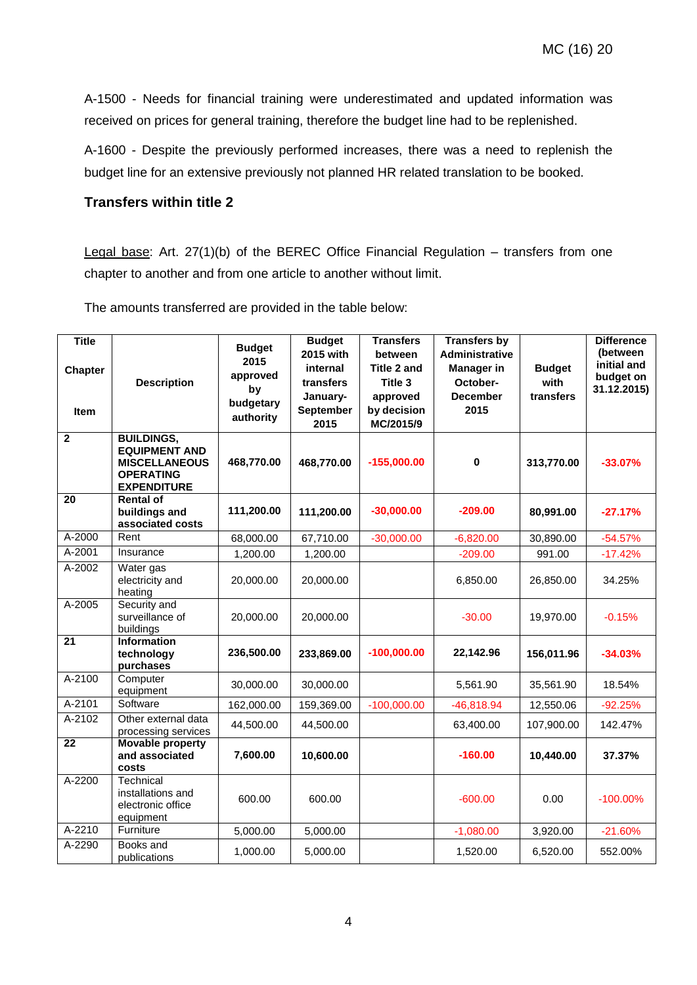A-1500 - Needs for financial training were underestimated and updated information was received on prices for general training, therefore the budget line had to be replenished.

A-1600 - Despite the previously performed increases, there was a need to replenish the budget line for an extensive previously not planned HR related translation to be booked.

#### **Transfers within title 2**

Legal base: Art. 27(1)(b) of the BEREC Office Financial Regulation – transfers from one chapter to another and from one article to another without limit.

The amounts transferred are provided in the table below:

| <b>Title</b><br><b>Chapter</b><br><b>Item</b> | <b>Description</b>                                                                                          | <b>Budget</b><br>2015<br>approved<br>by<br>budgetary<br>authority | <b>Budget</b><br>2015 with<br>internal<br>transfers<br>January-<br>September<br>2015 | <b>Transfers</b><br>between<br><b>Title 2 and</b><br>Title 3<br>approved<br>by decision<br>MC/2015/9 | <b>Transfers by</b><br><b>Administrative</b><br><b>Manager in</b><br>October-<br><b>December</b><br>2015 | <b>Budget</b><br>with<br>transfers | <b>Difference</b><br>(between<br>initial and<br>budget on<br>31.12.2015) |
|-----------------------------------------------|-------------------------------------------------------------------------------------------------------------|-------------------------------------------------------------------|--------------------------------------------------------------------------------------|------------------------------------------------------------------------------------------------------|----------------------------------------------------------------------------------------------------------|------------------------------------|--------------------------------------------------------------------------|
| $\overline{2}$                                | <b>BUILDINGS,</b><br><b>EQUIPMENT AND</b><br><b>MISCELLANEOUS</b><br><b>OPERATING</b><br><b>EXPENDITURE</b> | 468,770.00                                                        | 468,770.00                                                                           | $-155,000.00$                                                                                        | $\pmb{0}$                                                                                                | 313,770.00                         | $-33.07%$                                                                |
| $\overline{20}$                               | <b>Rental of</b><br>buildings and<br>associated costs                                                       | 111,200.00                                                        | 111,200.00                                                                           | $-30,000.00$                                                                                         | $-209.00$                                                                                                | 80,991.00                          | $-27.17%$                                                                |
| A-2000                                        | Rent                                                                                                        | 68,000.00                                                         | 67,710.00                                                                            | $-30,000.00$                                                                                         | $-6,820.00$                                                                                              | 30,890.00                          | $-54.57%$                                                                |
| A-2001                                        | Insurance                                                                                                   | 1,200.00                                                          | 1,200.00                                                                             |                                                                                                      | $-209.00$                                                                                                | 991.00                             | $-17.42%$                                                                |
| A-2002                                        | Water gas<br>electricity and<br>heating                                                                     | 20,000.00                                                         | 20,000.00                                                                            |                                                                                                      | 6,850.00                                                                                                 | 26,850.00                          | 34.25%                                                                   |
| A-2005                                        | Security and<br>surveillance of<br>buildings                                                                | 20,000.00                                                         | 20,000.00                                                                            |                                                                                                      | $-30.00$                                                                                                 | 19,970.00                          | $-0.15%$                                                                 |
| 21                                            | <b>Information</b><br>technology<br>purchases                                                               | 236,500.00                                                        | 233,869.00                                                                           | $-100,000.00$                                                                                        | 22,142.96                                                                                                | 156,011.96                         | $-34.03%$                                                                |
| A-2100                                        | Computer<br>equipment                                                                                       | 30,000.00                                                         | 30,000.00                                                                            |                                                                                                      | 5,561.90                                                                                                 | 35,561.90                          | 18.54%                                                                   |
| A-2101                                        | Software                                                                                                    | 162,000.00                                                        | 159,369.00                                                                           | $-100,000.00$                                                                                        | $-46,818.94$                                                                                             | 12,550.06                          | $-92.25%$                                                                |
| $A-2102$                                      | Other external data<br>processing services                                                                  | 44,500.00                                                         | 44,500.00                                                                            |                                                                                                      | 63,400.00                                                                                                | 107,900.00                         | 142.47%                                                                  |
| $\overline{22}$                               | <b>Movable property</b><br>and associated<br>costs                                                          | 7,600.00                                                          | 10,600.00                                                                            |                                                                                                      | $-160.00$                                                                                                | 10,440.00                          | 37.37%                                                                   |
| A-2200                                        | Technical<br>installations and<br>electronic office<br>equipment                                            | 600.00                                                            | 600.00                                                                               |                                                                                                      | $-600.00$                                                                                                | 0.00                               | $-100.00\%$                                                              |
| A-2210                                        | Furniture                                                                                                   | 5,000.00                                                          | 5,000.00                                                                             |                                                                                                      | $-1,080.00$                                                                                              | 3,920.00                           | $-21.60%$                                                                |
| A-2290                                        | Books and<br>publications                                                                                   | 1,000.00                                                          | 5,000.00                                                                             |                                                                                                      | 1,520.00                                                                                                 | 6,520.00                           | 552.00%                                                                  |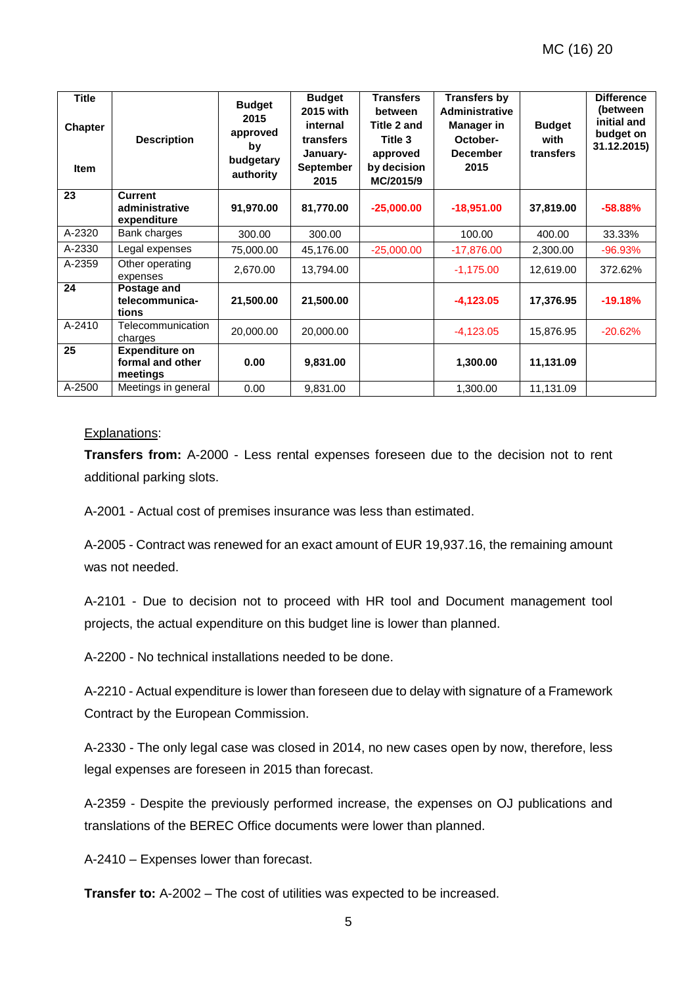| <b>Title</b><br><b>Chapter</b><br><b>Item</b> | <b>Description</b>                                    | <b>Budget</b><br>2015<br>approved<br>by<br>budgetary<br>authority | <b>Budget</b><br>2015 with<br>internal<br>transfers<br>January-<br><b>September</b><br>2015 | <b>Transfers</b><br>between<br>Title 2 and<br>Title 3<br>approved<br>by decision<br>MC/2015/9 | Transfers by<br><b>Administrative</b><br><b>Manager</b> in<br>October-<br><b>December</b><br>2015 | <b>Budget</b><br>with<br>transfers | <b>Difference</b><br>(between<br>initial and<br>budget on<br>31.12.2015) |
|-----------------------------------------------|-------------------------------------------------------|-------------------------------------------------------------------|---------------------------------------------------------------------------------------------|-----------------------------------------------------------------------------------------------|---------------------------------------------------------------------------------------------------|------------------------------------|--------------------------------------------------------------------------|
| 23                                            | <b>Current</b><br>administrative<br>expenditure       | 91,970.00                                                         | 81,770.00                                                                                   | $-25,000.00$                                                                                  | $-18,951.00$                                                                                      | 37,819.00                          | $-58.88%$                                                                |
| A-2320                                        | Bank charges                                          | 300.00                                                            | 300.00                                                                                      |                                                                                               | 100.00                                                                                            | 400.00                             | 33.33%                                                                   |
| A-2330                                        | Legal expenses                                        | 75,000.00                                                         | 45,176.00                                                                                   | $-25,000.00$                                                                                  | $-17,876.00$                                                                                      | 2,300.00                           | $-96.93%$                                                                |
| A-2359                                        | Other operating<br>expenses                           | 2,670.00                                                          | 13,794.00                                                                                   |                                                                                               | $-1,175.00$                                                                                       | 12,619.00                          | 372.62%                                                                  |
| 24                                            | Postage and<br>telecommunica-<br>tions                | 21,500.00                                                         | 21,500.00                                                                                   |                                                                                               | $-4,123.05$                                                                                       | 17,376.95                          | $-19.18%$                                                                |
| A-2410                                        | Telecommunication<br>charges                          | 20,000.00                                                         | 20,000.00                                                                                   |                                                                                               | $-4,123.05$                                                                                       | 15,876.95                          | $-20.62%$                                                                |
| 25                                            | <b>Expenditure on</b><br>formal and other<br>meetings | 0.00                                                              | 9,831.00                                                                                    |                                                                                               | 1,300.00                                                                                          | 11,131.09                          |                                                                          |
| A-2500                                        | Meetings in general                                   | 0.00                                                              | 9,831.00                                                                                    |                                                                                               | 1,300.00                                                                                          | 11,131.09                          |                                                                          |

#### Explanations:

**Transfers from:** A-2000 - Less rental expenses foreseen due to the decision not to rent additional parking slots.

A-2001 - Actual cost of premises insurance was less than estimated.

A-2005 - Contract was renewed for an exact amount of EUR 19,937.16, the remaining amount was not needed.

A-2101 - Due to decision not to proceed with HR tool and Document management tool projects, the actual expenditure on this budget line is lower than planned.

A-2200 - No technical installations needed to be done.

A-2210 - Actual expenditure is lower than foreseen due to delay with signature of a Framework Contract by the European Commission.

A-2330 - The only legal case was closed in 2014, no new cases open by now, therefore, less legal expenses are foreseen in 2015 than forecast.

A-2359 - Despite the previously performed increase, the expenses on OJ publications and translations of the BEREC Office documents were lower than planned.

A-2410 – Expenses lower than forecast.

**Transfer to:** A-2002 – The cost of utilities was expected to be increased.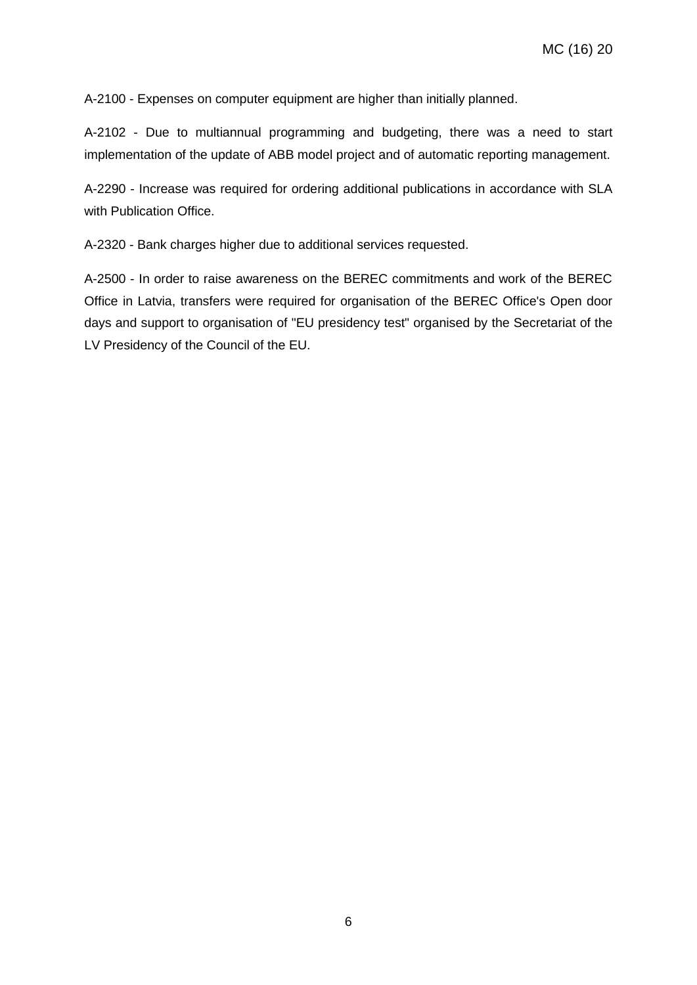A-2100 - Expenses on computer equipment are higher than initially planned.

A-2102 - Due to multiannual programming and budgeting, there was a need to start implementation of the update of ABB model project and of automatic reporting management.

A-2290 - Increase was required for ordering additional publications in accordance with SLA with Publication Office.

A-2320 - Bank charges higher due to additional services requested.

A-2500 - In order to raise awareness on the BEREC commitments and work of the BEREC Office in Latvia, transfers were required for organisation of the BEREC Office's Open door days and support to organisation of "EU presidency test" organised by the Secretariat of the LV Presidency of the Council of the EU.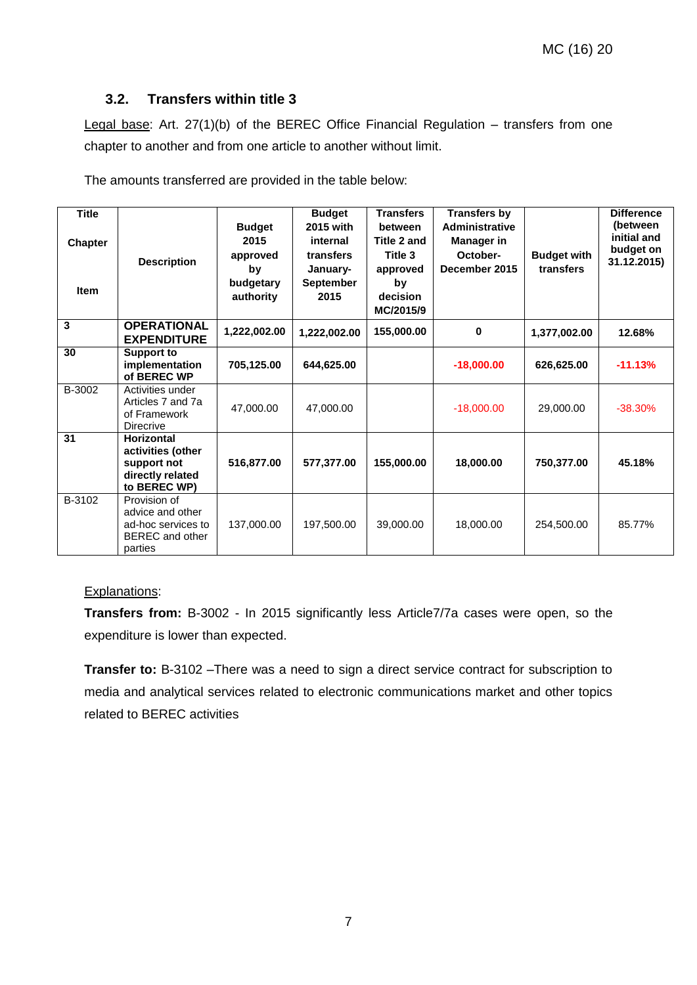### **3.2. Transfers within title 3**

Legal base: Art. 27(1)(b) of the BEREC Office Financial Regulation – transfers from one chapter to another and from one article to another without limit.

The amounts transferred are provided in the table below:

| <b>Title</b><br><b>Chapter</b><br><b>Item</b> | <b>Description</b>                                                                        | <b>Budget</b><br>2015<br>approved<br>by<br>budgetary<br>authority | <b>Budget</b><br>2015 with<br>internal<br>transfers<br>January-<br><b>September</b><br>2015 | <b>Transfers</b><br>between<br>Title 2 and<br>Title 3<br>approved<br>by<br>decision<br>MC/2015/9 | <b>Transfers by</b><br><b>Administrative</b><br>Manager in<br>October-<br>December 2015 | <b>Budget with</b><br>transfers | <b>Difference</b><br>(between<br>initial and<br>budget on<br>31.12.2015) |
|-----------------------------------------------|-------------------------------------------------------------------------------------------|-------------------------------------------------------------------|---------------------------------------------------------------------------------------------|--------------------------------------------------------------------------------------------------|-----------------------------------------------------------------------------------------|---------------------------------|--------------------------------------------------------------------------|
| 3                                             | <b>OPERATIONAL</b><br><b>EXPENDITURE</b>                                                  | 1,222,002.00                                                      | 1,222,002.00                                                                                | 155,000.00                                                                                       | $\bf{0}$                                                                                | 1,377,002.00                    | 12.68%                                                                   |
| 30                                            | <b>Support to</b><br>implementation<br>of BEREC WP                                        | 705,125.00                                                        | 644,625.00                                                                                  |                                                                                                  | $-18,000.00$                                                                            | 626,625.00                      | $-11.13%$                                                                |
| B-3002                                        | Activities under<br>Articles 7 and 7a<br>of Framework<br>Direcrive                        | 47,000.00                                                         | 47,000.00                                                                                   |                                                                                                  | $-18,000.00$                                                                            | 29,000.00                       | $-38.30%$                                                                |
| 31                                            | <b>Horizontal</b><br>activities (other<br>support not<br>directly related<br>to BEREC WP) | 516,877.00                                                        | 577,377.00                                                                                  | 155,000.00                                                                                       | 18,000.00                                                                               | 750,377.00                      | 45.18%                                                                   |
| B-3102                                        | Provision of<br>advice and other<br>ad-hoc services to<br>BEREC and other<br>parties      | 137,000.00                                                        | 197,500.00                                                                                  | 39,000.00                                                                                        | 18,000.00                                                                               | 254,500.00                      | 85.77%                                                                   |

#### Explanations:

**Transfers from:** B-3002 - In 2015 significantly less Article7/7a cases were open, so the expenditure is lower than expected.

**Transfer to:** B-3102 –There was a need to sign a direct service contract for subscription to media and analytical services related to electronic communications market and other topics related to BEREC activities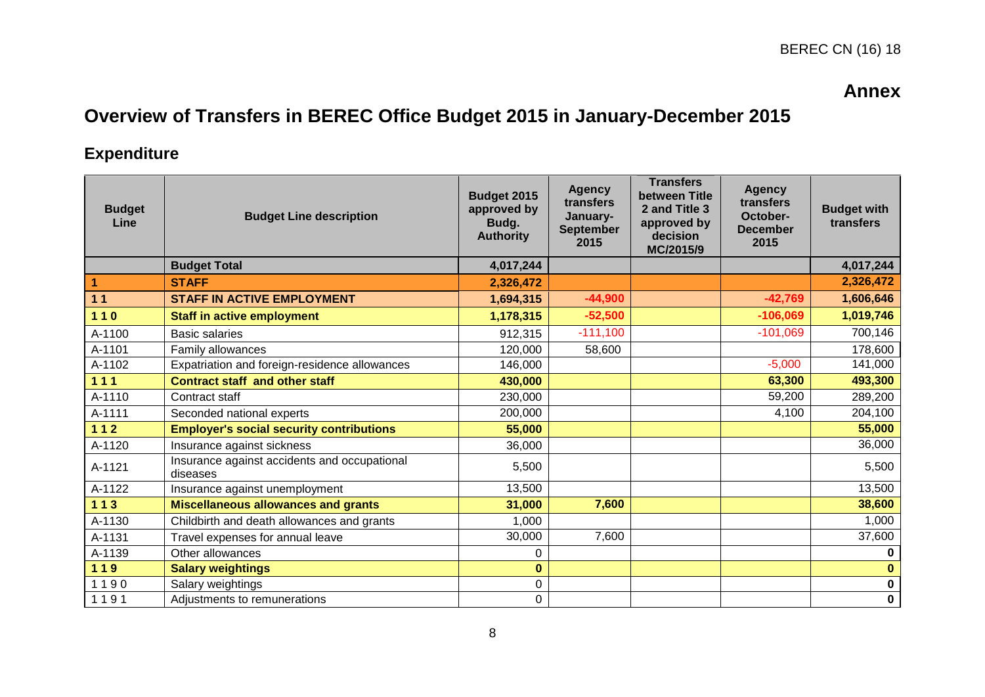# **Annex**

# **Overview of Transfers in BEREC Office Budget 2015 in January-December 2015**

# **Expenditure**

| <b>Budget</b><br>Line | <b>Budget Line description</b>                           | Budget 2015<br>approved by<br>Budg.<br><b>Authority</b> | <b>Agency</b><br>transfers<br>January-<br><b>September</b><br>2015 | <b>Transfers</b><br>between Title<br>2 and Title 3<br>approved by<br>decision<br>MC/2015/9 | <b>Agency</b><br>transfers<br>October-<br><b>December</b><br>2015 | <b>Budget with</b><br>transfers |
|-----------------------|----------------------------------------------------------|---------------------------------------------------------|--------------------------------------------------------------------|--------------------------------------------------------------------------------------------|-------------------------------------------------------------------|---------------------------------|
|                       | <b>Budget Total</b>                                      | 4,017,244                                               |                                                                    |                                                                                            |                                                                   | 4,017,244                       |
| $\mathbf{1}$          | <b>STAFF</b>                                             | 2,326,472                                               |                                                                    |                                                                                            |                                                                   | 2,326,472                       |
| 11                    | <b>STAFF IN ACTIVE EMPLOYMENT</b>                        | 1,694,315                                               | $-44,900$                                                          |                                                                                            | $-42,769$                                                         | 1,606,646                       |
| $110$                 | <b>Staff in active employment</b>                        | 1,178,315                                               | $-52,500$                                                          |                                                                                            | $-106,069$                                                        | 1,019,746                       |
| A-1100                | <b>Basic salaries</b>                                    | 912,315                                                 | $-111,100$                                                         |                                                                                            | $-101,069$                                                        | 700,146                         |
| A-1101                | Family allowances                                        | 120,000                                                 | 58,600                                                             |                                                                                            |                                                                   | 178,600                         |
| A-1102                | Expatriation and foreign-residence allowances            | 146,000                                                 |                                                                    |                                                                                            | $-5,000$                                                          | 141,000                         |
| $111$                 | <b>Contract staff and other staff</b>                    | 430,000                                                 |                                                                    |                                                                                            | 63,300                                                            | 493,300                         |
| A-1110                | Contract staff                                           | 230,000                                                 |                                                                    |                                                                                            | 59,200                                                            | 289,200                         |
| A-1111                | Seconded national experts                                | 200,000                                                 |                                                                    |                                                                                            | 4,100                                                             | 204,100                         |
| $112$                 | <b>Employer's social security contributions</b>          | 55,000                                                  |                                                                    |                                                                                            |                                                                   | 55,000                          |
| A-1120                | Insurance against sickness                               | 36,000                                                  |                                                                    |                                                                                            |                                                                   | 36,000                          |
| A-1121                | Insurance against accidents and occupational<br>diseases | 5,500                                                   |                                                                    |                                                                                            |                                                                   | 5,500                           |
| A-1122                | Insurance against unemployment                           | 13,500                                                  |                                                                    |                                                                                            |                                                                   | 13,500                          |
| 113                   | <b>Miscellaneous allowances and grants</b>               | 31,000                                                  | 7,600                                                              |                                                                                            |                                                                   | 38,600                          |
| A-1130                | Childbirth and death allowances and grants               | 1,000                                                   |                                                                    |                                                                                            |                                                                   | 1,000                           |
| A-1131                | Travel expenses for annual leave                         | 30,000                                                  | 7,600                                                              |                                                                                            |                                                                   | 37,600                          |
| A-1139                | Other allowances                                         | 0                                                       |                                                                    |                                                                                            |                                                                   | 0                               |
| 119                   | <b>Salary weightings</b>                                 | $\bf{0}$                                                |                                                                    |                                                                                            |                                                                   | $\bf{0}$                        |
| 1190                  | Salary weightings                                        | 0                                                       |                                                                    |                                                                                            |                                                                   | $\mathbf 0$                     |
| 1191                  | Adjustments to remunerations                             | 0                                                       |                                                                    |                                                                                            |                                                                   | $\mathbf 0$                     |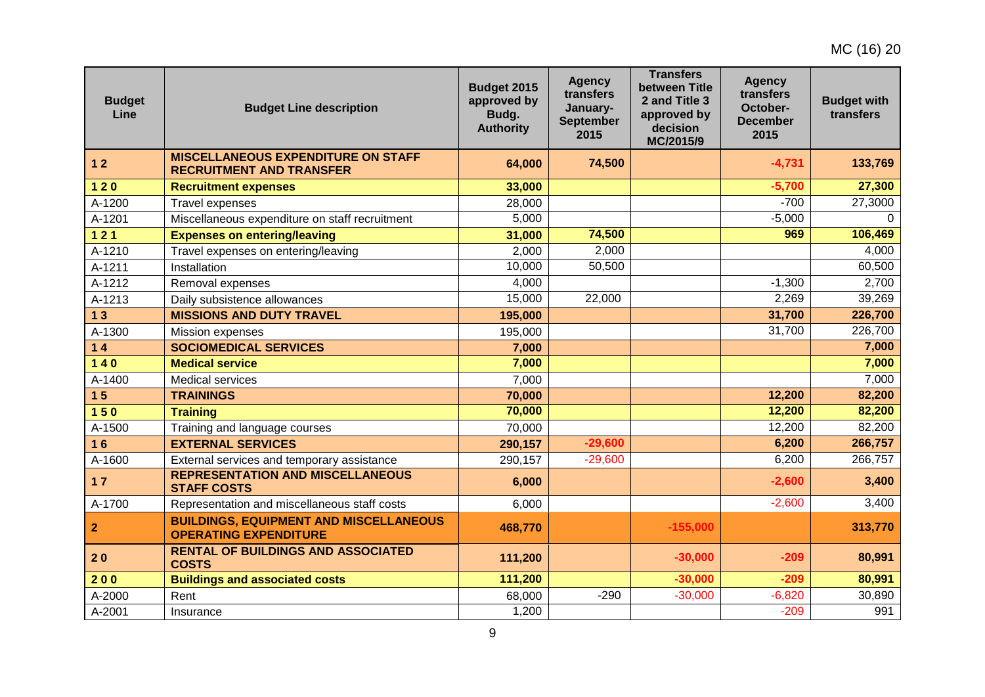| <b>Budget</b><br>Line | <b>Budget Line description</b>                                                | Budget 2015<br>approved by<br>Budg.<br><b>Authority</b> | <b>Agency</b><br>transfers<br>January-<br><b>September</b><br>2015 | <b>Transfers</b><br>between Title<br>2 and Title 3<br>approved by<br>decision<br>MC/2015/9 | <b>Agency</b><br>transfers<br>October-<br><b>December</b><br>2015 | <b>Budget with</b><br>transfers |
|-----------------------|-------------------------------------------------------------------------------|---------------------------------------------------------|--------------------------------------------------------------------|--------------------------------------------------------------------------------------------|-------------------------------------------------------------------|---------------------------------|
| 12                    | <b>MISCELLANEOUS EXPENDITURE ON STAFF</b><br><b>RECRUITMENT AND TRANSFER</b>  | 64,000                                                  | 74,500                                                             |                                                                                            | $-4,731$                                                          | 133,769                         |
| $120$                 | <b>Recruitment expenses</b>                                                   | 33,000                                                  |                                                                    |                                                                                            | $-5,700$                                                          | 27,300                          |
| A-1200                | Travel expenses                                                               | 28,000                                                  |                                                                    |                                                                                            | $-700$                                                            | 27,3000                         |
| A-1201                | Miscellaneous expenditure on staff recruitment                                | 5,000                                                   |                                                                    |                                                                                            | $-5,000$                                                          | $\Omega$                        |
| 121                   | <b>Expenses on entering/leaving</b>                                           | 31,000                                                  | 74,500                                                             |                                                                                            | 969                                                               | 106,469                         |
| A-1210                | Travel expenses on entering/leaving                                           | 2,000                                                   | 2,000                                                              |                                                                                            |                                                                   | 4,000                           |
| A-1211                | Installation                                                                  | 10,000                                                  | 50,500                                                             |                                                                                            |                                                                   | 60,500                          |
| A-1212                | Removal expenses                                                              | 4,000                                                   |                                                                    |                                                                                            | $-1,300$                                                          | 2,700                           |
| A-1213                | Daily subsistence allowances                                                  | 15,000                                                  | 22,000                                                             |                                                                                            | 2,269                                                             | 39,269                          |
| 13                    | <b>MISSIONS AND DUTY TRAVEL</b>                                               | 195,000                                                 |                                                                    |                                                                                            | 31,700                                                            | 226,700                         |
| A-1300                | Mission expenses                                                              | 195,000                                                 |                                                                    |                                                                                            | 31,700                                                            | 226,700                         |
| 14                    | <b>SOCIOMEDICAL SERVICES</b>                                                  | 7,000                                                   |                                                                    |                                                                                            |                                                                   | 7,000                           |
| $140$                 | <b>Medical service</b>                                                        | 7,000                                                   |                                                                    |                                                                                            |                                                                   | 7,000                           |
| A-1400                | <b>Medical services</b>                                                       | 7,000                                                   |                                                                    |                                                                                            |                                                                   | 7,000                           |
| 15                    | <b>TRAININGS</b>                                                              | 70,000                                                  |                                                                    |                                                                                            | 12,200                                                            | 82,200                          |
| 150                   | <b>Training</b>                                                               | 70,000                                                  |                                                                    |                                                                                            | 12,200                                                            | 82,200                          |
| A-1500                | Training and language courses                                                 | 70,000                                                  |                                                                    |                                                                                            | 12,200                                                            | 82,200                          |
| 16                    | <b>EXTERNAL SERVICES</b>                                                      | 290,157                                                 | $-29,600$                                                          |                                                                                            | 6,200                                                             | 266,757                         |
| $A-1600$              | External services and temporary assistance                                    | 290,157                                                 | $-29,600$                                                          |                                                                                            | 6,200                                                             | 266,757                         |
| $17$                  | <b>REPRESENTATION AND MISCELLANEOUS</b><br><b>STAFF COSTS</b>                 | 6,000                                                   |                                                                    |                                                                                            | $-2,600$                                                          | 3,400                           |
| A-1700                | Representation and miscellaneous staff costs                                  | 6,000                                                   |                                                                    |                                                                                            | $-2,600$                                                          | 3,400                           |
| $\vert$ 2             | <b>BUILDINGS, EQUIPMENT AND MISCELLANEOUS</b><br><b>OPERATING EXPENDITURE</b> | 468,770                                                 |                                                                    | $-155,000$                                                                                 |                                                                   | 313,770                         |
| 20                    | <b>RENTAL OF BUILDINGS AND ASSOCIATED</b><br><b>COSTS</b>                     | 111,200                                                 |                                                                    | $-30,000$                                                                                  | $-209$                                                            | 80,991                          |
| 200                   | <b>Buildings and associated costs</b>                                         | 111,200                                                 |                                                                    | $-30,000$                                                                                  | $-209$                                                            | 80,991                          |
| A-2000                | Rent                                                                          | 68,000                                                  | $-290$                                                             | $-30,000$                                                                                  | $-6,820$                                                          | 30,890                          |
| A-2001                | Insurance                                                                     | 1,200                                                   |                                                                    |                                                                                            | $-209$                                                            | 991                             |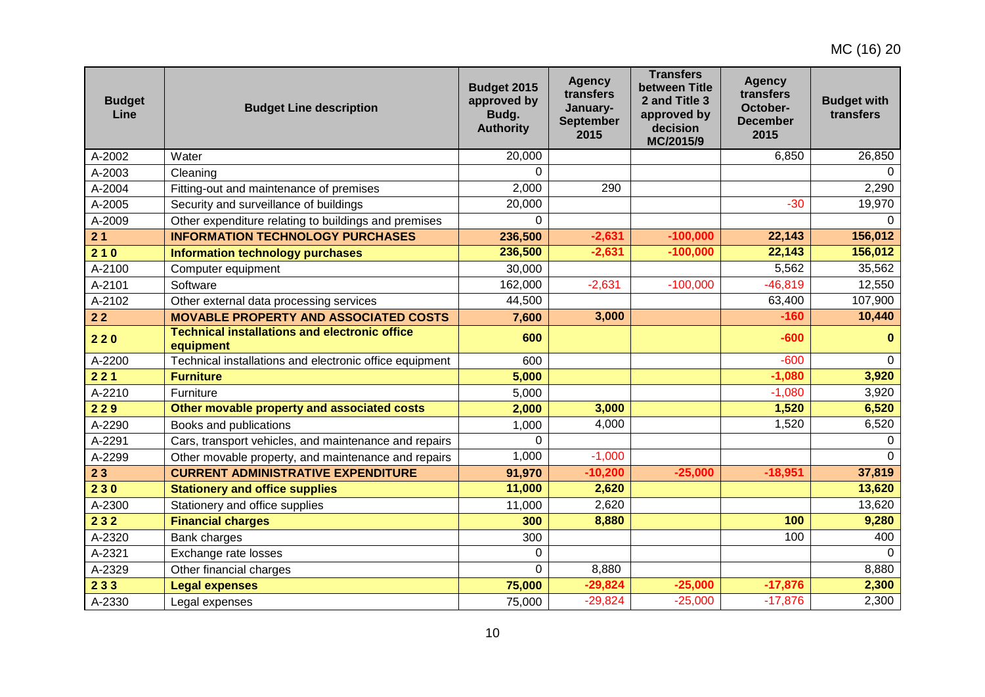| <b>Budget</b><br>Line | <b>Budget Line description</b>                                    | Budget 2015<br>approved by<br>Budg.<br><b>Authority</b> | <b>Agency</b><br>transfers<br>January-<br><b>September</b><br>2015 | <b>Transfers</b><br>between Title<br>2 and Title 3<br>approved by<br>decision<br>MC/2015/9 | <b>Agency</b><br>transfers<br>October-<br><b>December</b><br>2015 | <b>Budget with</b><br>transfers |
|-----------------------|-------------------------------------------------------------------|---------------------------------------------------------|--------------------------------------------------------------------|--------------------------------------------------------------------------------------------|-------------------------------------------------------------------|---------------------------------|
| A-2002                | Water                                                             | 20,000                                                  |                                                                    |                                                                                            | 6,850                                                             | 26,850                          |
| A-2003                | Cleaning                                                          | $\Omega$                                                |                                                                    |                                                                                            |                                                                   |                                 |
| A-2004                | Fitting-out and maintenance of premises                           | 2,000                                                   | 290                                                                |                                                                                            |                                                                   | 2,290                           |
| A-2005                | Security and surveillance of buildings                            | 20,000                                                  |                                                                    |                                                                                            | $-30$                                                             | 19,970                          |
| A-2009                | Other expenditure relating to buildings and premises              | $\Omega$                                                |                                                                    |                                                                                            |                                                                   | $\Omega$                        |
| 21                    | <b>INFORMATION TECHNOLOGY PURCHASES</b>                           | 236,500                                                 | $-2,631$                                                           | $-100,000$                                                                                 | 22,143                                                            | 156,012                         |
| 210                   | <b>Information technology purchases</b>                           | 236,500                                                 | $-2,631$                                                           | $-100,000$                                                                                 | 22,143                                                            | 156,012                         |
| A-2100                | Computer equipment                                                | 30,000                                                  |                                                                    |                                                                                            | 5,562                                                             | 35,562                          |
| A-2101                | Software                                                          | 162,000                                                 | $-2,631$                                                           | $-100,000$                                                                                 | $-46,819$                                                         | 12,550                          |
| A-2102                | Other external data processing services                           | 44,500                                                  |                                                                    |                                                                                            | 63,400                                                            | 107,900                         |
| $22$                  | <b>MOVABLE PROPERTY AND ASSOCIATED COSTS</b>                      | 7,600                                                   | 3,000                                                              |                                                                                            | $-160$                                                            | 10,440                          |
| 220                   | <b>Technical installations and electronic office</b><br>equipment | 600                                                     |                                                                    |                                                                                            | $-600$                                                            | $\bf{0}$                        |
| A-2200                | Technical installations and electronic office equipment           | 600                                                     |                                                                    |                                                                                            | $-600$                                                            | $\Omega$                        |
| 221                   | <b>Furniture</b>                                                  | 5,000                                                   |                                                                    |                                                                                            | $-1,080$                                                          | 3,920                           |
| A-2210                | Furniture                                                         | 5,000                                                   |                                                                    |                                                                                            | $-1,080$                                                          | 3,920                           |
| 229                   | Other movable property and associated costs                       | 2,000                                                   | 3,000                                                              |                                                                                            | 1,520                                                             | 6,520                           |
| A-2290                | Books and publications                                            | 1,000                                                   | 4,000                                                              |                                                                                            | 1,520                                                             | 6,520                           |
| A-2291                | Cars, transport vehicles, and maintenance and repairs             | $\Omega$                                                |                                                                    |                                                                                            |                                                                   | $\Omega$                        |
| A-2299                | Other movable property, and maintenance and repairs               | 1,000                                                   | $-1,000$                                                           |                                                                                            |                                                                   | $\Omega$                        |
| 23                    | <b>CURRENT ADMINISTRATIVE EXPENDITURE</b>                         | 91,970                                                  | $-10,200$                                                          | $-25,000$                                                                                  | $-18,951$                                                         | 37,819                          |
| 230                   | <b>Stationery and office supplies</b>                             | 11,000                                                  | 2,620                                                              |                                                                                            |                                                                   | 13,620                          |
| A-2300                | Stationery and office supplies                                    | 11,000                                                  | 2,620                                                              |                                                                                            |                                                                   | 13,620                          |
| 232                   | <b>Financial charges</b>                                          | 300                                                     | 8,880                                                              |                                                                                            | 100                                                               | 9,280                           |
| A-2320                | Bank charges                                                      | 300                                                     |                                                                    |                                                                                            | 100                                                               | 400                             |
| A-2321                | Exchange rate losses                                              | 0                                                       |                                                                    |                                                                                            |                                                                   | $\Omega$                        |
| A-2329                | Other financial charges                                           | $\Omega$                                                | 8,880                                                              |                                                                                            |                                                                   | 8,880                           |
| 233                   | <b>Legal expenses</b>                                             | 75,000                                                  | $-29,824$                                                          | $-25,000$                                                                                  | $-17,876$                                                         | 2,300                           |
| A-2330                | Legal expenses                                                    | 75,000                                                  | $-29,824$                                                          | $-25,000$                                                                                  | $-17,876$                                                         | 2,300                           |